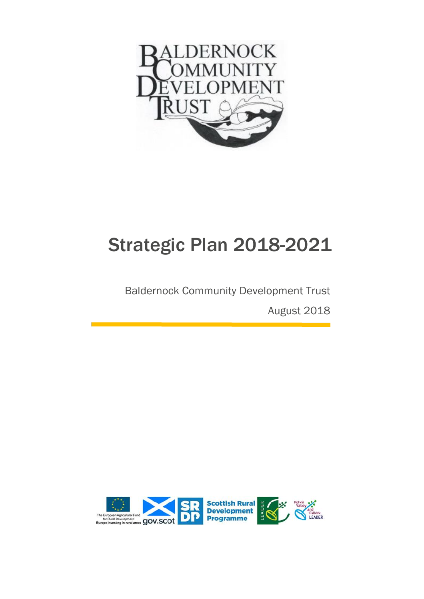

# Strategic Plan 2018-2021

# Baldernock Community Development Trust

August 2018

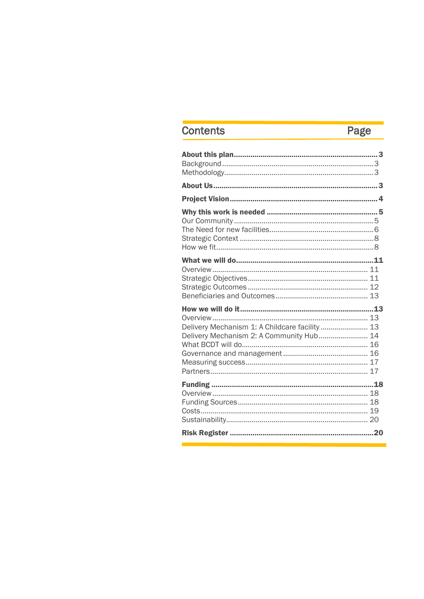# Contents

# Page

| Delivery Mechanism 1: A Childcare facility 13 |  |
|-----------------------------------------------|--|
| Delivery Mechanism 2: A Community Hub 14      |  |
|                                               |  |
|                                               |  |
|                                               |  |
|                                               |  |
|                                               |  |
|                                               |  |
|                                               |  |
|                                               |  |
|                                               |  |
|                                               |  |
|                                               |  |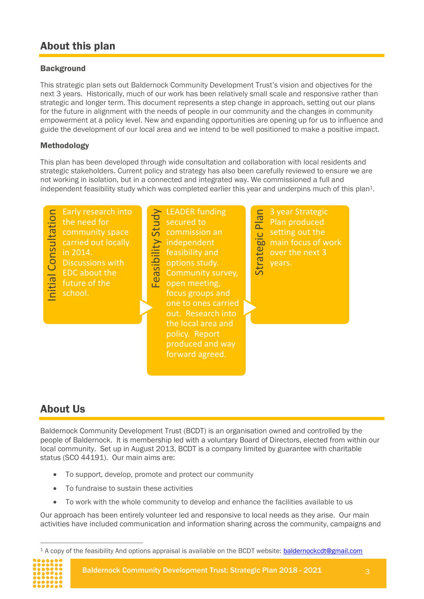# <span id="page-2-0"></span>About this plan

#### <span id="page-2-1"></span>**Background**

This strategic plan sets out Baldernock Community Development Trust's vision and objectives for the next 3 years. Historically, much of our work has been relatively small scale and responsive rather than strategic and longer term. This document represents a step change in approach, setting out our plans for the future in alignment with the needs of people in our community and the changes in community empowerment at a policy level. New and expanding opportunities are opening up for us to influence and guide the development of our local area and we intend to be well positioned to make a positive impact.

#### <span id="page-2-2"></span>Methodology

This plan has been developed through wide consultation and collaboration with local residents and strategic stakeholders. Current policy and strategy has also been carefully reviewed to ensure we are not working in isolation, but in a connected and integrated way. We commissioned a full and independent feasibility study which was completed earlier this year and underpins much of this plan<sup>1</sup>.



# <span id="page-2-3"></span>About Us

Baldernock Community Development Trust (BCDT) is an organisation owned and controlled by the people of Baldernock. It is membership led with a voluntary Board of Directors, elected from within our local community. Set up in August 2013, BCDT is a company limited by guarantee with charitable status (SCO 44191). Our main aims are:

- To support, develop, promote and protect our community
- To fundraise to sustain these activities
- To work with the whole community to develop and enhance the facilities available to us

Our approach has been entirely volunteer led and responsive to local needs as they arise. Our main activities have included communication and information sharing across the community, campaigns and

 $\overline{a}$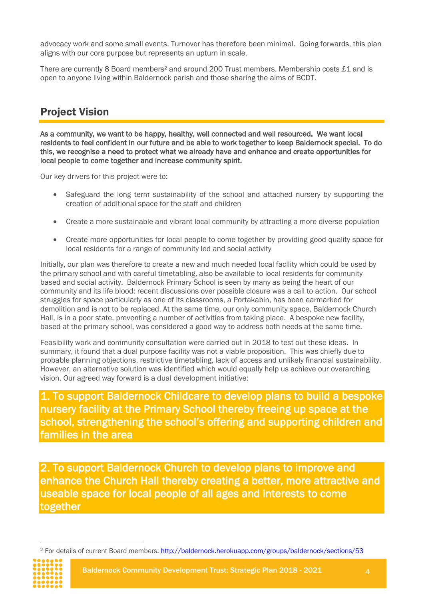advocacy work and some small events. Turnover has therefore been minimal. Going forwards, this plan aligns with our core purpose but represents an upturn in scale.

There are currently 8 Board members<sup>2</sup> and around 200 Trust members. Membership costs £1 and is open to anyone living within Baldernock parish and those sharing the aims of BCDT.

# <span id="page-3-0"></span>Project Vision

As a community, we want to be happy, healthy, well connected and well resourced. We want local residents to feel confident in our future and be able to work together to keep Baldernock special. To do this, we recognise a need to protect what we already have and enhance and create opportunities for local people to come together and increase community spirit.

Our key drivers for this project were to:

- Safeguard the long term sustainability of the school and attached nursery by supporting the creation of additional space for the staff and children
- Create a more sustainable and vibrant local community by attracting a more diverse population
- Create more opportunities for local people to come together by providing good quality space for local residents for a range of community led and social activity

Initially, our plan was therefore to create a new and much needed local facility which could be used by the primary school and with careful timetabling, also be available to local residents for community based and social activity. Baldernock Primary School is seen by many as being the heart of our community and its life blood: recent discussions over possible closure was a call to action. Our school struggles for space particularly as one of its classrooms, a Portakabin, has been earmarked for demolition and is not to be replaced. At the same time, our only community space, Baldernock Church Hall, is in a poor state, preventing a number of activities from taking place. A bespoke new facility, based at the primary school, was considered a good way to address both needs at the same time.

Feasibility work and community consultation were carried out in 2018 to test out these ideas. In summary, it found that a dual purpose facility was not a viable proposition. This was chiefly due to probable planning objections, restrictive timetabling, lack of access and unlikely financial sustainability. However, an alternative solution was identified which would equally help us achieve our overarching vision. Our agreed way forward is a dual development initiative:

1. To support Baldernock Childcare to develop plans to build a bespoke nursery facility at the Primary School thereby freeing up space at the school, strengthening the school's offering and supporting children and families in the area

2. To support Baldernock Church to develop plans to improve and enhance the Church Hall thereby creating a better, more attractive and useable space for local people of all ages and interests to come together

 $\overline{a}$ <sup>2</sup> For details of current Board members:<http://baldernock.herokuapp.com/groups/baldernock/sections/53>



Baldernock Community Development Trust: Strategic Plan 2018 - 2021 4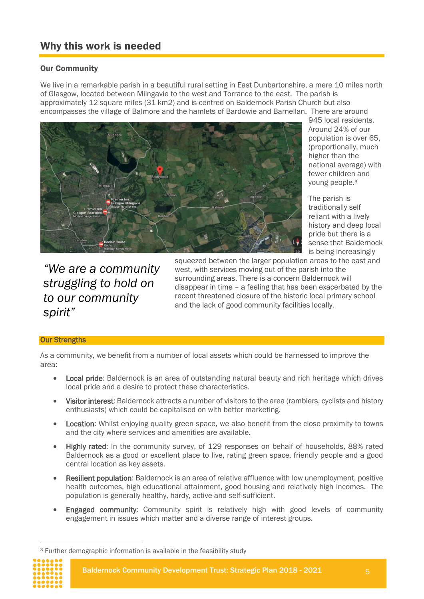# <span id="page-4-0"></span>Why this work is needed

#### <span id="page-4-1"></span>Our Community

We live in a remarkable parish in a beautiful rural setting in East Dunbartonshire, a mere 10 miles north of Glasgow, located between Milngavie to the west and Torrance to the east. The parish is approximately 12 square miles (31 km2) and is centred on Baldernock Parish Church but also encompasses the village of Balmore and the hamlets of Bardowie and Barnellan. There are around



945 local residents. Around 24% of our population is over 65, (proportionally, much higher than the national average) with fewer children and young people.<sup>3</sup>

The parish is traditionally self reliant with a lively history and deep local pride but there is a sense that Baldernock is being increasingly

*"We are a community struggling to hold on to our community spirit"*

squeezed between the larger population areas to the east and west, with services moving out of the parish into the surrounding areas. There is a concern Baldernock will disappear in time – a feeling that has been exacerbated by the recent threatened closure of the historic local primary school and the lack of good community facilities locally.

#### **Our Strengths**

As a community, we benefit from a number of local assets which could be harnessed to improve the area:

- Local pride: Baldernock is an area of outstanding natural beauty and rich heritage which drives local pride and a desire to protect these characteristics.
- Visitor interest: Baldernock attracts a number of visitors to the area (ramblers, cyclists and history enthusiasts) which could be capitalised on with better marketing.
- Location: Whilst enjoying quality green space, we also benefit from the close proximity to towns and the city where services and amenities are available.
- Highly rated: In the community survey, of 129 responses on behalf of households, 88% rated Baldernock as a good or excellent place to live, rating green space, friendly people and a good central location as key assets.
- Resilient population: Baldernock is an area of relative affluence with low unemployment, positive health outcomes, high educational attainment, good housing and relatively high incomes. The population is generally healthy, hardy, active and self-sufficient.
- Engaged community: Community spirit is relatively high with good levels of community engagement in issues which matter and a diverse range of interest groups.

 $\overline{a}$ 

<sup>3</sup> Further demographic information is available in the feasibility study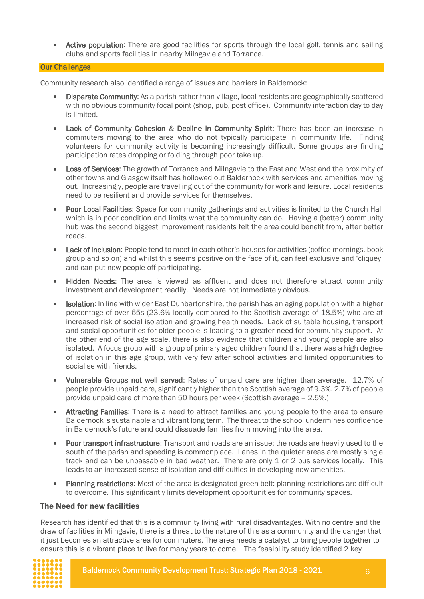• Active population: There are good facilities for sports through the local golf, tennis and sailing clubs and sports facilities in nearby Milngavie and Torrance.

#### Our Challenges

Community research also identified a range of issues and barriers in Baldernock:

- Disparate Community: As a parish rather than village, local residents are geographically scattered with no obvious community focal point (shop, pub, post office). Community interaction day to day is limited.
- Lack of Community Cohesion & Decline in Community Spirit: There has been an increase in commuters moving to the area who do not typically participate in community life. Finding volunteers for community activity is becoming increasingly difficult. Some groups are finding participation rates dropping or folding through poor take up.
- Loss of Services: The growth of Torrance and Milngavie to the East and West and the proximity of other towns and Glasgow itself has hollowed out Baldernock with services and amenities moving out. Increasingly, people are travelling out of the community for work and leisure. Local residents need to be resilient and provide services for themselves.
- Poor Local Facilities: Space for community gatherings and activities is limited to the Church Hall which is in poor condition and limits what the community can do. Having a (better) community hub was the second biggest improvement residents felt the area could benefit from, after better roads.
- Lack of Inclusion: People tend to meet in each other's houses for activities (coffee mornings, book group and so on) and whilst this seems positive on the face of it, can feel exclusive and 'cliquey' and can put new people off participating.
- Hidden Needs: The area is viewed as affluent and does not therefore attract community investment and development readily. Needs are not immediately obvious.
- Isolation: In line with wider East Dunbartonshire, the parish has an aging population with a higher percentage of over 65s (23.6% locally compared to the Scottish average of 18.5%) who are at increased risk of social isolation and growing health needs. Lack of suitable housing, transport and social opportunities for older people is leading to a greater need for community support. At the other end of the age scale, there is also evidence that children and young people are also isolated. A focus group with a group of primary aged children found that there was a high degree of isolation in this age group, with very few after school activities and limited opportunities to socialise with friends.
- Vulnerable Groups not well served: Rates of unpaid care are higher than average. 12.7% of people provide unpaid care, significantly higher than the Scottish average of 9.3%. 2.7% of people provide unpaid care of more than 50 hours per week (Scottish average = 2.5%.)
- Attracting Families: There is a need to attract families and young people to the area to ensure Baldernock is sustainable and vibrant long term. The threat to the school undermines confidence in Baldernock's future and could dissuade families from moving into the area.
- Poor transport infrastructure: Transport and roads are an issue: the roads are heavily used to the south of the parish and speeding is commonplace. Lanes in the quieter areas are mostly single track and can be unpassable in bad weather. There are only 1 or 2 bus services locally. This leads to an increased sense of isolation and difficulties in developing new amenities.
- Planning restrictions: Most of the area is designated green belt: planning restrictions are difficult to overcome. This significantly limits development opportunities for community spaces.

#### <span id="page-5-0"></span>The Need for new facilities

Research has identified that this is a community living with rural disadvantages. With no centre and the draw of facilities in Milngavie, there is a threat to the nature of this as a community and the danger that it just becomes an attractive area for commuters. The area needs a catalyst to bring people together to ensure this is a vibrant place to live for many years to come. The feasibility study identified 2 key

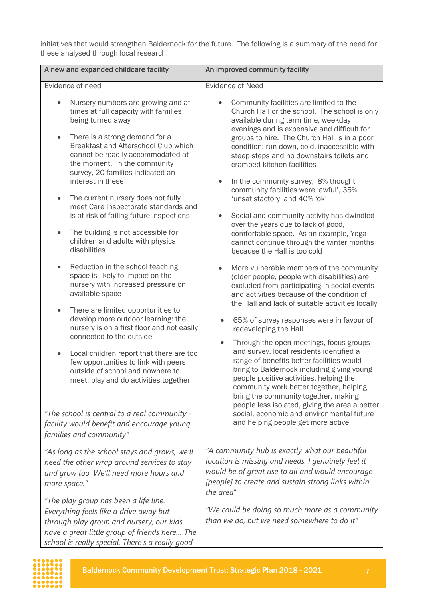initiatives that would strengthen Baldernock for the future. The following is a summary of the need for these analysed through local research.

| A new and expanded childcare facility                                                                                                                                                                                                                                                                                                                                                 | An improved community facility                                                                                                                                                                                                                                                                                                                                                                                                                                                           |  |  |
|---------------------------------------------------------------------------------------------------------------------------------------------------------------------------------------------------------------------------------------------------------------------------------------------------------------------------------------------------------------------------------------|------------------------------------------------------------------------------------------------------------------------------------------------------------------------------------------------------------------------------------------------------------------------------------------------------------------------------------------------------------------------------------------------------------------------------------------------------------------------------------------|--|--|
| Evidence of need                                                                                                                                                                                                                                                                                                                                                                      | <b>Evidence of Need</b>                                                                                                                                                                                                                                                                                                                                                                                                                                                                  |  |  |
| Nursery numbers are growing and at<br>times at full capacity with families<br>being turned away<br>There is a strong demand for a<br>Breakfast and Afterschool Club which<br>cannot be readily accommodated at<br>the moment. In the community<br>survey, 20 families indicated an<br>interest in these<br>The current nursery does not fully<br>meet Care Inspectorate standards and | Community facilities are limited to the<br>Church Hall or the school. The school is only<br>available during term time, weekday<br>evenings and is expensive and difficult for<br>groups to hire. The Church Hall is in a poor<br>condition: run down, cold, inaccessible with<br>steep steps and no downstairs toilets and<br>cramped kitchen facilities<br>In the community survey, 8% thought<br>$\bullet$<br>community facilities were 'awful', 35%<br>'unsatisfactory' and 40% 'ok' |  |  |
| is at risk of failing future inspections<br>The building is not accessible for<br>$\bullet$<br>children and adults with physical<br>disabilities                                                                                                                                                                                                                                      | Social and community activity has dwindled<br>over the years due to lack of good,<br>comfortable space. As an example, Yoga<br>cannot continue through the winter months<br>because the Hall is too cold                                                                                                                                                                                                                                                                                 |  |  |
| Reduction in the school teaching<br>$\bullet$<br>space is likely to impact on the<br>nursery with increased pressure on<br>available space<br>There are limited opportunities to<br>$\bullet$                                                                                                                                                                                         | More vulnerable members of the community<br>(older people, people with disabilities) are<br>excluded from participating in social events<br>and activities because of the condition of<br>the Hall and lack of suitable activities locally                                                                                                                                                                                                                                               |  |  |
| develop more outdoor learning: the<br>nursery is on a first floor and not easily<br>connected to the outside                                                                                                                                                                                                                                                                          | 65% of survey responses were in favour of<br>redeveloping the Hall                                                                                                                                                                                                                                                                                                                                                                                                                       |  |  |
| Local children report that there are too<br>few opportunities to link with peers<br>outside of school and nowhere to<br>meet, play and do activities together                                                                                                                                                                                                                         | Through the open meetings, focus groups<br>$\bullet$<br>and survey, local residents identified a<br>range of benefits better facilities would<br>bring to Baldernock including giving young<br>people positive activities, helping the<br>community work better together, helping<br>bring the community together, making<br>people less isolated, giving the area a better                                                                                                              |  |  |
| "The school is central to a real community -<br>facility would benefit and encourage young<br>families and community"                                                                                                                                                                                                                                                                 | social, economic and environmental future<br>and helping people get more active                                                                                                                                                                                                                                                                                                                                                                                                          |  |  |
| "As long as the school stays and grows, we'll<br>need the other wrap around services to stay<br>and grow too. We'll need more hours and<br>more space."                                                                                                                                                                                                                               | "A community hub is exactly what our beautiful<br>location is missing and needs. I genuinely feel it<br>would be of great use to all and would encourage<br>[people] to create and sustain strong links within<br>the area"                                                                                                                                                                                                                                                              |  |  |
| "The play group has been a life line.<br>Everything feels like a drive away but<br>through play group and nursery, our kids<br>have a great little group of friends here The                                                                                                                                                                                                          | "We could be doing so much more as a community<br>than we do, but we need somewhere to do it"                                                                                                                                                                                                                                                                                                                                                                                            |  |  |

*school is really special. There's a really good*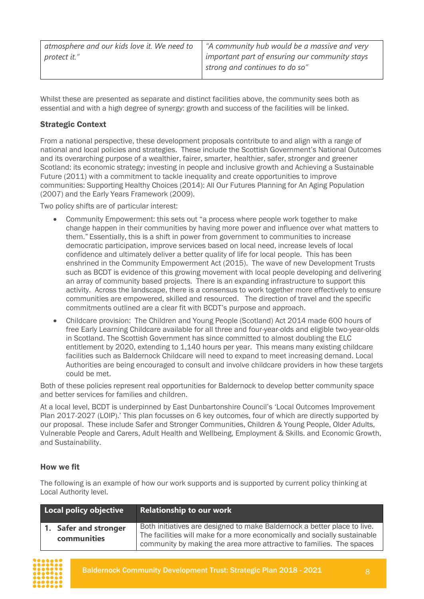| atmosphere and our kids love it. We need to | "A community hub would be a massive and very   |
|---------------------------------------------|------------------------------------------------|
| protect it."                                | important part of ensuring our community stays |
|                                             | strong and continues to do so"                 |
|                                             |                                                |

Whilst these are presented as separate and distinct facilities above, the community sees both as essential and with a high degree of synergy: growth and success of the facilities will be linked.

#### <span id="page-7-0"></span>Strategic Context

From a national perspective, these development proposals contribute to and align with a range of national and local policies and strategies. These include the Scottish Government's National Outcomes and its overarching purpose of a wealthier, fairer, smarter, healthier, safer, stronger and greener Scotland: its economic strategy; investing in people and inclusive growth and Achieving a Sustainable Future (2011) with a commitment to tackle inequality and create opportunities to improve communities: Supporting Healthy Choices (2014): All Our Futures Planning for An Aging Population (2007) and the Early Years Framework (2009).

Two policy shifts are of particular interest:

- Community Empowerment: this sets out "a process where people work together to make change happen in their communities by having more power and influence over what matters to them." Essentially, this is a shift in power from government to communities to increase democratic participation, improve services based on local need, increase levels of local confidence and ultimately deliver a better quality of life for local people. This has been enshrined in the Community Empowerment Act (2015). The wave of new Development Trusts such as BCDT is evidence of this growing movement with local people developing and delivering an array of community based projects. There is an expanding infrastructure to support this activity. Across the landscape, there is a consensus to work together more effectively to ensure communities are empowered, skilled and resourced. The direction of travel and the specific commitments outlined are a clear fit with BCDT's purpose and approach.
- Childcare provision: The Children and Young People (Scotland) Act 2014 made 600 hours of free Early Learning Childcare available for all three and four-year-olds and eligible two-year-olds in Scotland. The Scottish Government has since committed to almost doubling the ELC entitlement by 2020, extending to 1,140 hours per year. This means many existing childcare facilities such as Baldernock Childcare will need to expand to meet increasing demand. Local Authorities are being encouraged to consult and involve childcare providers in how these targets could be met.

Both of these policies represent real opportunities for Baldernock to develop better community space and better services for families and children.

At a local level, BCDT is underpinned by East Dunbartonshire Council's 'Local Outcomes Improvement Plan 2017-2027 (LOIP).' This plan focusses on 6 key outcomes, four of which are directly supported by our proposal. These include Safer and Stronger Communities, Children & Young People, Older Adults, Vulnerable People and Carers, Adult Health and Wellbeing, Employment & Skills. and Economic Growth, and Sustainability.

#### <span id="page-7-1"></span>How we fit

The following is an example of how our work supports and is supported by current policy thinking at Local Authority level.

| Local policy objective               | <b>Relationship to our work</b>                                                                                                                                                                                               |
|--------------------------------------|-------------------------------------------------------------------------------------------------------------------------------------------------------------------------------------------------------------------------------|
| 1. Safer and stronger<br>communities | Both initiatives are designed to make Baldernock a better place to live.<br>The facilities will make for a more economically and socially sustainable<br>community by making the area more attractive to families. The spaces |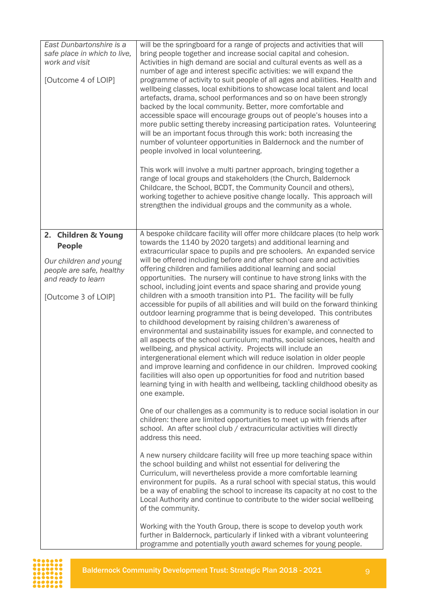| East Dunbartonshire is a<br>safe place in which to live,<br>work and visit<br>[Outcome 4 of LOIP]                                       | will be the springboard for a range of projects and activities that will<br>bring people together and increase social capital and cohesion.<br>Activities in high demand are social and cultural events as well as a<br>number of age and interest specific activities: we will expand the<br>programme of activity to suit people of all ages and abilities. Health and<br>wellbeing classes, local exhibitions to showcase local talent and local<br>artefacts, drama, school performances and so on have been strongly<br>backed by the local community. Better, more comfortable and<br>accessible space will encourage groups out of people's houses into a<br>more public setting thereby increasing participation rates. Volunteering<br>will be an important focus through this work: both increasing the<br>number of volunteer opportunities in Baldernock and the number of<br>people involved in local volunteering.<br>This work will involve a multi partner approach, bringing together a<br>range of local groups and stakeholders (the Church, Baldernock<br>Childcare, the School, BCDT, the Community Council and others),                                                                                                                                                                                                                                                                                                                                                                                                                                                                                                                                                                                                                                                                                                                                                                                                                                                                                                                                                                                                                                                                                                                                                                                  |
|-----------------------------------------------------------------------------------------------------------------------------------------|--------------------------------------------------------------------------------------------------------------------------------------------------------------------------------------------------------------------------------------------------------------------------------------------------------------------------------------------------------------------------------------------------------------------------------------------------------------------------------------------------------------------------------------------------------------------------------------------------------------------------------------------------------------------------------------------------------------------------------------------------------------------------------------------------------------------------------------------------------------------------------------------------------------------------------------------------------------------------------------------------------------------------------------------------------------------------------------------------------------------------------------------------------------------------------------------------------------------------------------------------------------------------------------------------------------------------------------------------------------------------------------------------------------------------------------------------------------------------------------------------------------------------------------------------------------------------------------------------------------------------------------------------------------------------------------------------------------------------------------------------------------------------------------------------------------------------------------------------------------------------------------------------------------------------------------------------------------------------------------------------------------------------------------------------------------------------------------------------------------------------------------------------------------------------------------------------------------------------------------------------------------------------------------------------------------------------------|
|                                                                                                                                         | working together to achieve positive change locally. This approach will<br>strengthen the individual groups and the community as a whole.                                                                                                                                                                                                                                                                                                                                                                                                                                                                                                                                                                                                                                                                                                                                                                                                                                                                                                                                                                                                                                                                                                                                                                                                                                                                                                                                                                                                                                                                                                                                                                                                                                                                                                                                                                                                                                                                                                                                                                                                                                                                                                                                                                                      |
| 2. Children & Young<br><b>People</b><br>Our children and young<br>people are safe, healthy<br>and ready to learn<br>[Outcome 3 of LOIP] | A bespoke childcare facility will offer more childcare places (to help work<br>towards the 1140 by 2020 targets) and additional learning and<br>extracurricular space to pupils and pre schoolers. An expanded service<br>will be offered including before and after school care and activities<br>offering children and families additional learning and social<br>opportunities. The nursery will continue to have strong links with the<br>school, including joint events and space sharing and provide young<br>children with a smooth transition into P1. The facility will be fully<br>accessible for pupils of all abilities and will build on the forward thinking<br>outdoor learning programme that is being developed. This contributes<br>to childhood development by raising children's awareness of<br>environmental and sustainability issues for example, and connected to<br>all aspects of the school curriculum; maths, social sciences, health and<br>wellbeing, and physical activity. Projects will include an<br>intergenerational element which will reduce isolation in older people<br>and improve learning and confidence in our children. Improved cooking<br>facilities will also open up opportunities for food and nutrition based<br>learning tying in with health and wellbeing, tackling childhood obesity as<br>one example.<br>One of our challenges as a community is to reduce social isolation in our<br>children: there are limited opportunities to meet up with friends after<br>school. An after school club / extracurricular activities will directly<br>address this need.<br>A new nursery childcare facility will free up more teaching space within<br>the school building and whilst not essential for delivering the<br>Curriculum, will nevertheless provide a more comfortable learning<br>environment for pupils. As a rural school with special status, this would<br>be a way of enabling the school to increase its capacity at no cost to the<br>Local Authority and continue to contribute to the wider social wellbeing<br>of the community.<br>Working with the Youth Group, there is scope to develop youth work<br>further in Baldernock, particularly if linked with a vibrant volunteering<br>programme and potentially youth award schemes for young people. |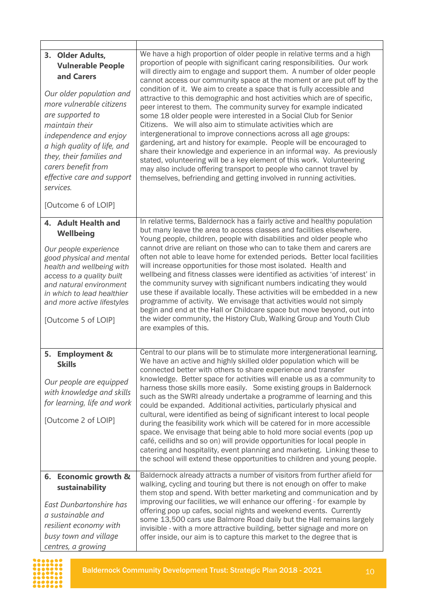| 3. Older Adults,<br><b>Vulnerable People</b><br>and Carers<br>Our older population and<br>more vulnerable citizens<br>are supported to<br>maintain their<br>independence and enjoy<br>a high quality of life, and<br>they, their families and<br>carers benefit from<br>effective care and support<br>services. | We have a high proportion of older people in relative terms and a high<br>proportion of people with significant caring responsibilities. Our work<br>will directly aim to engage and support them. A number of older people<br>cannot access our community space at the moment or are put off by the<br>condition of it. We aim to create a space that is fully accessible and<br>attractive to this demographic and host activities which are of specific,<br>peer interest to them. The community survey for example indicated<br>some 18 older people were interested in a Social Club for Senior<br>Citizens. We will also aim to stimulate activities which are<br>intergenerational to improve connections across all age groups:<br>gardening, art and history for example. People will be encouraged to<br>share their knowledge and experience in an informal way. As previously<br>stated, volunteering will be a key element of this work. Volunteering<br>may also include offering transport to people who cannot travel by<br>themselves, befriending and getting involved in running activities. |
|-----------------------------------------------------------------------------------------------------------------------------------------------------------------------------------------------------------------------------------------------------------------------------------------------------------------|-----------------------------------------------------------------------------------------------------------------------------------------------------------------------------------------------------------------------------------------------------------------------------------------------------------------------------------------------------------------------------------------------------------------------------------------------------------------------------------------------------------------------------------------------------------------------------------------------------------------------------------------------------------------------------------------------------------------------------------------------------------------------------------------------------------------------------------------------------------------------------------------------------------------------------------------------------------------------------------------------------------------------------------------------------------------------------------------------------------------|
| [Outcome 6 of LOIP]                                                                                                                                                                                                                                                                                             |                                                                                                                                                                                                                                                                                                                                                                                                                                                                                                                                                                                                                                                                                                                                                                                                                                                                                                                                                                                                                                                                                                                 |
| 4. Adult Health and<br>Wellbeing<br>Our people experience<br>good physical and mental<br>health and wellbeing with<br>access to a quality built<br>and natural environment<br>in which to lead healthier<br>and more active lifestyles<br>[Outcome 5 of LOIP]                                                   | In relative terms, Baldernock has a fairly active and healthy population<br>but many leave the area to access classes and facilities elsewhere.<br>Young people, children, people with disabilities and older people who<br>cannot drive are reliant on those who can to take them and carers are<br>often not able to leave home for extended periods. Better local facilities<br>will increase opportunities for those most isolated. Health and<br>wellbeing and fitness classes were identified as activities 'of interest' in<br>the community survey with significant numbers indicating they would<br>use these if available locally. These activities will be embedded in a new<br>programme of activity. We envisage that activities would not simply<br>begin and end at the Hall or Childcare space but move beyond, out into<br>the wider community, the History Club, Walking Group and Youth Club<br>are examples of this.                                                                                                                                                                        |
| 5. Employment &<br><b>Skills</b><br>Our people are equipped<br>with knowledge and skills<br>for learning, life and work<br>[Outcome 2 of LOIP]                                                                                                                                                                  | Central to our plans will be to stimulate more intergenerational learning.<br>We have an active and highly skilled older population which will be<br>connected better with others to share experience and transfer<br>knowledge. Better space for activities will enable us as a community to<br>harness those skills more easily. Some existing groups in Baldernock<br>such as the SWRI already undertake a programme of learning and this<br>could be expanded. Additional activities, particularly physical and<br>cultural, were identified as being of significant interest to local people<br>during the feasibility work which will be catered for in more accessible<br>space. We envisage that being able to hold more social events (pop up<br>café, ceilidhs and so on) will provide opportunities for local people in<br>catering and hospitality, event planning and marketing. Linking these to<br>the school will extend these opportunities to children and young people.                                                                                                                      |
| 6. Economic growth &<br>sustainability<br>East Dunbartonshire has<br>a sustainable and<br>resilient economy with<br>busy town and village<br>centres, a growing                                                                                                                                                 | Baldernock already attracts a number of visitors from further afield for<br>walking, cycling and touring but there is not enough on offer to make<br>them stop and spend. With better marketing and communication and by<br>improving our facilities, we will enhance our offering - for example by<br>offering pop up cafes, social nights and weekend events. Currently<br>some 13,500 cars use Balmore Road daily but the Hall remains largely<br>invisible - with a more attractive building, better signage and more on<br>offer inside, our aim is to capture this market to the degree that is                                                                                                                                                                                                                                                                                                                                                                                                                                                                                                           |

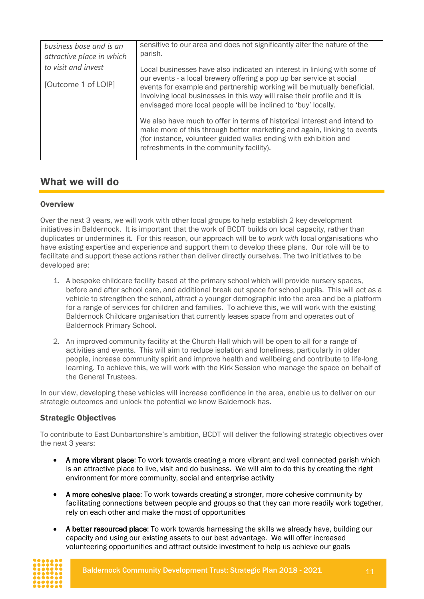| business base and is an<br>attractive place in which | sensitive to our area and does not significantly alter the nature of the<br>parish.                                                                                                                                                                                 |  |  |
|------------------------------------------------------|---------------------------------------------------------------------------------------------------------------------------------------------------------------------------------------------------------------------------------------------------------------------|--|--|
| to visit and invest                                  | Local businesses have also indicated an interest in linking with some of<br>our events - a local brewery offering a pop up bar service at social                                                                                                                    |  |  |
| [Outcome 1 of LOIP]                                  | events for example and partnership working will be mutually beneficial.<br>Involving local businesses in this way will raise their profile and it is<br>envisaged more local people will be inclined to 'buy' locally.                                              |  |  |
|                                                      | We also have much to offer in terms of historical interest and intend to<br>make more of this through better marketing and again, linking to events<br>(for instance, volunteer guided walks ending with exhibition and<br>refreshments in the community facility). |  |  |

### <span id="page-10-0"></span>What we will do

#### <span id="page-10-1"></span>**Overview**

Over the next 3 years, we will work with other local groups to help establish 2 key development initiatives in Baldernock. It is important that the work of BCDT builds on local capacity, rather than duplicates or undermines it. For this reason, our approach will be to *work with* local organisations who have existing expertise and experience and support them to develop these plans. Our role will be to facilitate and support these actions rather than deliver directly ourselves. The two initiatives to be developed are:

- 1. A bespoke childcare facility based at the primary school which will provide nursery spaces, before and after school care, and additional break out space for school pupils. This will act as a vehicle to strengthen the school, attract a younger demographic into the area and be a platform for a range of services for children and families. To achieve this, we will work with the existing Baldernock Childcare organisation that currently leases space from and operates out of Baldernock Primary School.
- 2. An improved community facility at the Church Hall which will be open to all for a range of activities and events. This will aim to reduce isolation and loneliness, particularly in older people, increase community spirit and improve health and wellbeing and contribute to life-long learning. To achieve this, we will work with the Kirk Session who manage the space on behalf of the General Trustees.

In our view, developing these vehicles will increase confidence in the area, enable us to deliver on our strategic outcomes and unlock the potential we know Baldernock has.

#### <span id="page-10-2"></span>Strategic Objectives

To contribute to East Dunbartonshire's ambition, BCDT will deliver the following strategic objectives over the next 3 years:

- A more vibrant place: To work towards creating a more vibrant and well connected parish which is an attractive place to live, visit and do business. We will aim to do this by creating the right environment for more community, social and enterprise activity
- A more cohesive place: To work towards creating a stronger, more cohesive community by facilitating connections between people and groups so that they can more readily work together, rely on each other and make the most of opportunities
- A better resourced place: To work towards harnessing the skills we already have, building our capacity and using our existing assets to our best advantage. We will offer increased volunteering opportunities and attract outside investment to help us achieve our goals

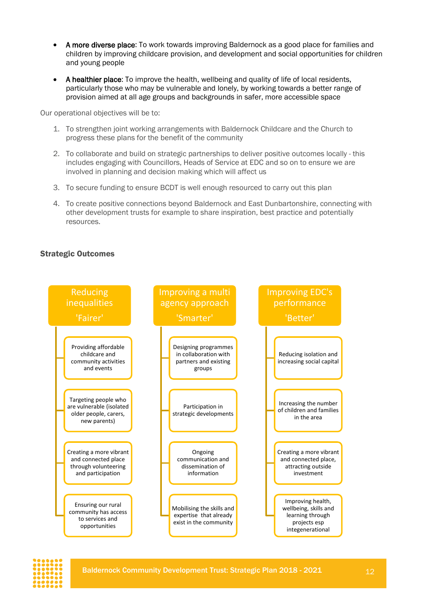- A more diverse place: To work towards improving Baldernock as a good place for families and children by improving childcare provision, and development and social opportunities for children and young people
- A healthier place: To improve the health, wellbeing and quality of life of local residents, particularly those who may be vulnerable and lonely, by working towards a better range of provision aimed at all age groups and backgrounds in safer, more accessible space

Our operational objectives will be to:

- 1. To strengthen joint working arrangements with Baldernock Childcare and the Church to progress these plans for the benefit of the community
- 2. To collaborate and build on strategic partnerships to deliver positive outcomes locally this includes engaging with Councillors, Heads of Service at EDC and so on to ensure we are involved in planning and decision making which will affect us
- 3. To secure funding to ensure BCDT is well enough resourced to carry out this plan
- 4. To create positive connections beyond Baldernock and East Dunbartonshire, connecting with other development trusts for example to share inspiration, best practice and potentially resources.

#### <span id="page-11-0"></span>Strategic Outcomes



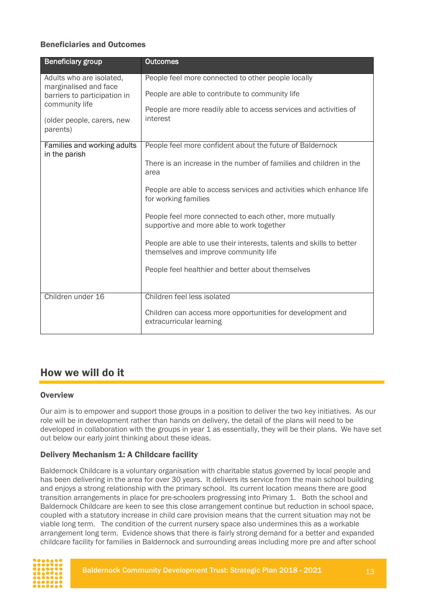#### <span id="page-12-0"></span>Beneficiaries and Outcomes

| <b>Beneficiary group</b>                          | <b>Outcomes</b>                                                                                               |
|---------------------------------------------------|---------------------------------------------------------------------------------------------------------------|
| Adults who are isolated,<br>marginalised and face | People feel more connected to other people locally                                                            |
| barriers to participation in                      | People are able to contribute to community life                                                               |
| community life                                    | People are more readily able to access services and activities of                                             |
| (older people, carers, new<br>parents)            | interest                                                                                                      |
| Families and working adults<br>in the parish      | People feel more confident about the future of Baldernock                                                     |
|                                                   | There is an increase in the number of families and children in the<br>area                                    |
|                                                   | People are able to access services and activities which enhance life<br>for working families                  |
|                                                   | People feel more connected to each other, more mutually<br>supportive and more able to work together          |
|                                                   | People are able to use their interests, talents and skills to better<br>themselves and improve community life |
|                                                   | People feel healthier and better about themselves                                                             |
| Children under 16                                 | Children feel less isolated                                                                                   |
|                                                   | Children can access more opportunities for development and<br>extracurricular learning                        |

### <span id="page-12-1"></span>How we will do it

#### <span id="page-12-2"></span>**Overview**

Our aim is to empower and support those groups in a position to deliver the two key initiatives. As our role will be in development rather than hands on delivery, the detail of the plans will need to be developed in collaboration with the groups in year 1 as essentially, they will be their plans. We have set out below our early joint thinking about these ideas.

#### <span id="page-12-3"></span>Delivery Mechanism 1: A Childcare facility

Baldernock Childcare is a voluntary organisation with charitable status governed by local people and has been delivering in the area for over 30 years. It delivers its service from the main school building and enjoys a strong relationship with the primary school. Its current location means there are good transition arrangements in place for pre-schoolers progressing into Primary 1. Both the school and Baldernock Childcare are keen to see this close arrangement continue but reduction in school space, coupled with a statutory increase in child care provision means that the current situation may not be viable long term. The condition of the current nursery space also undermines this as a workable arrangement long term. Evidence shows that there is fairly strong demand for a better and expanded childcare facility for families in Baldernock and surrounding areas including more pre and after school

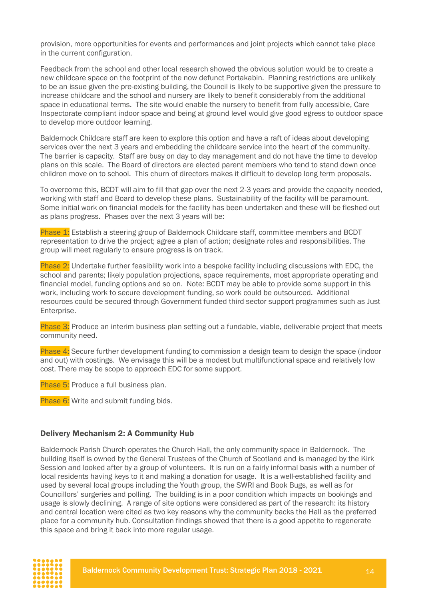provision, more opportunities for events and performances and joint projects which cannot take place in the current configuration.

Feedback from the school and other local research showed the obvious solution would be to create a new childcare space on the footprint of the now defunct Portakabin. Planning restrictions are unlikely to be an issue given the pre-existing building, the Council is likely to be supportive given the pressure to increase childcare and the school and nursery are likely to benefit considerably from the additional space in educational terms. The site would enable the nursery to benefit from fully accessible, Care Inspectorate compliant indoor space and being at ground level would give good egress to outdoor space to develop more outdoor learning.

Baldernock Childcare staff are keen to explore this option and have a raft of ideas about developing services over the next 3 years and embedding the childcare service into the heart of the community. The barrier is capacity. Staff are busy on day to day management and do not have the time to develop plans on this scale. The Board of directors are elected parent members who tend to stand down once children move on to school. This churn of directors makes it difficult to develop long term proposals.

To overcome this, BCDT will aim to fill that gap over the next 2-3 years and provide the capacity needed, working with staff and Board to develop these plans. Sustainability of the facility will be paramount. Some initial work on financial models for the facility has been undertaken and these will be fleshed out as plans progress. Phases over the next 3 years will be:

Phase 1: Establish a steering group of Baldernock Childcare staff, committee members and BCDT representation to drive the project; agree a plan of action; designate roles and responsibilities. The group will meet regularly to ensure progress is on track.

Phase 2: Undertake further feasibility work into a bespoke facility including discussions with EDC, the school and parents; likely population projections, space requirements, most appropriate operating and financial model, funding options and so on. Note: BCDT may be able to provide some support in this work, including work to secure development funding, so work could be outsourced. Additional resources could be secured through Government funded third sector support programmes such as Just Enterprise.

Phase 3: Produce an interim business plan setting out a fundable, viable, deliverable project that meets community need.

Phase 4: Secure further development funding to commission a design team to design the space (indoor and out) with costings. We envisage this will be a modest but multifunctional space and relatively low cost. There may be scope to approach EDC for some support.

Phase 5: Produce a full business plan.

Phase 6: Write and submit funding bids.

#### <span id="page-13-0"></span>Delivery Mechanism 2: A Community Hub

Baldernock Parish Church operates the Church Hall, the only community space in Baldernock. The building itself is owned by the General Trustees of the Church of Scotland and is managed by the Kirk Session and looked after by a group of volunteers. It is run on a fairly informal basis with a number of local residents having keys to it and making a donation for usage. It is a well-established facility and used by several local groups including the Youth group, the SWRI and Book Bugs, as well as for Councillors' surgeries and polling. The building is in a poor condition which impacts on bookings and usage is slowly declining. A range of site options were considered as part of the research: its history and central location were cited as two key reasons why the community backs the Hall as the preferred place for a community hub. Consultation findings showed that there is a good appetite to regenerate this space and bring it back into more regular usage.

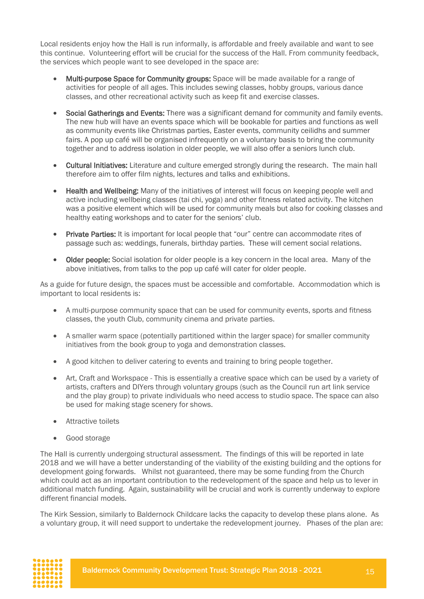Local residents enjoy how the Hall is run informally, is affordable and freely available and want to see this continue. Volunteering effort will be crucial for the success of the Hall. From community feedback, the services which people want to see developed in the space are:

- Multi-purpose Space for Community groups: Space will be made available for a range of activities for people of all ages. This includes sewing classes, hobby groups, various dance classes, and other recreational activity such as keep fit and exercise classes.
- Social Gatherings and Events: There was a significant demand for community and family events. The new hub will have an events space which will be bookable for parties and functions as well as community events like Christmas parties, Easter events, community ceilidhs and summer fairs. A pop up café will be organised infrequently on a voluntary basis to bring the community together and to address isolation in older people, we will also offer a seniors lunch club.
- Cultural Initiatives: Literature and culture emerged strongly during the research. The main hall therefore aim to offer film nights, lectures and talks and exhibitions.
- Health and Wellbeing: Many of the initiatives of interest will focus on keeping people well and active including wellbeing classes (tai chi, yoga) and other fitness related activity. The kitchen was a positive element which will be used for community meals but also for cooking classes and healthy eating workshops and to cater for the seniors' club.
- Private Parties: It is important for local people that "our" centre can accommodate rites of passage such as: weddings, funerals, birthday parties. These will cement social relations.
- Older people: Social isolation for older people is a key concern in the local area. Many of the above initiatives, from talks to the pop up café will cater for older people.

As a guide for future design, the spaces must be accessible and comfortable. Accommodation which is important to local residents is:

- A multi-purpose community space that can be used for community events, sports and fitness classes, the youth Club, community cinema and private parties.
- A smaller warm space (potentially partitioned within the larger space) for smaller community initiatives from the book group to yoga and demonstration classes.
- A good kitchen to deliver catering to events and training to bring people together.
- Art, Craft and Workspace This is essentially a creative space which can be used by a variety of artists, crafters and DIYers through voluntary groups (such as the Council run art link service and the play group) to private individuals who need access to studio space. The space can also be used for making stage scenery for shows.
- Attractive toilets
- Good storage

The Hall is currently undergoing structural assessment. The findings of this will be reported in late 2018 and we will have a better understanding of the viability of the existing building and the options for development going forwards. Whilst not guaranteed, there may be some funding from the Church which could act as an important contribution to the redevelopment of the space and help us to lever in additional match funding. Again, sustainability will be crucial and work is currently underway to explore different financial models.

The Kirk Session, similarly to Baldernock Childcare lacks the capacity to develop these plans alone. As a voluntary group, it will need support to undertake the redevelopment journey. Phases of the plan are:

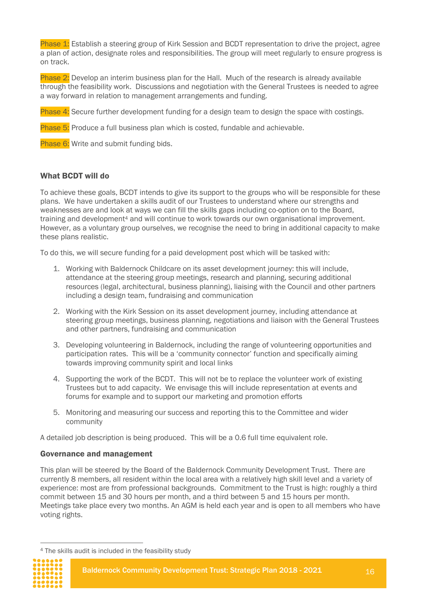Phase 1: Establish a steering group of Kirk Session and BCDT representation to drive the project, agree a plan of action, designate roles and responsibilities. The group will meet regularly to ensure progress is on track.

Phase 2: Develop an interim business plan for the Hall. Much of the research is already available through the feasibility work. Discussions and negotiation with the General Trustees is needed to agree a way forward in relation to management arrangements and funding.

Phase 4: Secure further development funding for a design team to design the space with costings.

Phase 5: Produce a full business plan which is costed, fundable and achievable.

Phase 6: Write and submit funding bids.

#### <span id="page-15-0"></span>What BCDT will do

To achieve these goals, BCDT intends to give its support to the groups who will be responsible for these plans. We have undertaken a skills audit of our Trustees to understand where our strengths and weaknesses are and look at ways we can fill the skills gaps including co-option on to the Board, training and development<sup>4</sup> and will continue to work towards our own organisational improvement. However, as a voluntary group ourselves, we recognise the need to bring in additional capacity to make these plans realistic.

To do this, we will secure funding for a paid development post which will be tasked with:

- 1. Working with Baldernock Childcare on its asset development journey: this will include, attendance at the steering group meetings, research and planning, securing additional resources (legal, architectural, business planning), liaising with the Council and other partners including a design team, fundraising and communication
- 2. Working with the Kirk Session on its asset development journey, including attendance at steering group meetings, business planning, negotiations and liaison with the General Trustees and other partners, fundraising and communication
- 3. Developing volunteering in Baldernock, including the range of volunteering opportunities and participation rates. This will be a 'community connector' function and specifically aiming towards improving community spirit and local links
- 4. Supporting the work of the BCDT. This will not be to replace the volunteer work of existing Trustees but to add capacity. We envisage this will include representation at events and forums for example and to support our marketing and promotion efforts
- 5. Monitoring and measuring our success and reporting this to the Committee and wider community

A detailed job description is being produced. This will be a 0.6 full time equivalent role.

#### <span id="page-15-1"></span>Governance and management

This plan will be steered by the Board of the Baldernock Community Development Trust. There are currently 8 members, all resident within the local area with a relatively high skill level and a variety of experience: most are from professional backgrounds. Commitment to the Trust is high: roughly a third commit between 15 and 30 hours per month, and a third between 5 and 15 hours per month. Meetings take place every two months. An AGM is held each year and is open to all members who have voting rights.

 $\overline{a}$ 

Baldernock Community Development Trust: Strategic Plan 2018 - 2021 16

<sup>4</sup> The skills audit is included in the feasibility study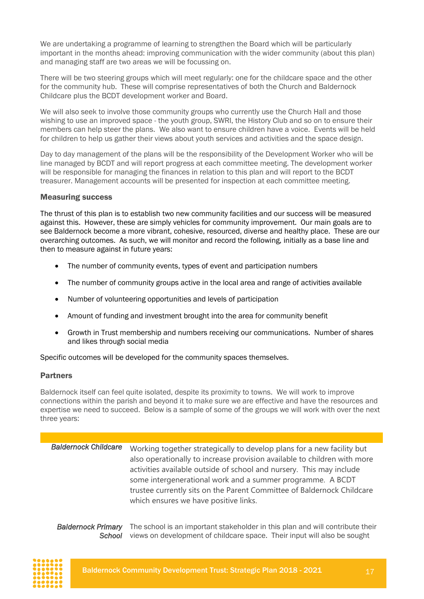We are undertaking a programme of learning to strengthen the Board which will be particularly important in the months ahead: improving communication with the wider community (about this plan) and managing staff are two areas we will be focussing on.

There will be two steering groups which will meet regularly: one for the childcare space and the other for the community hub. These will comprise representatives of both the Church and Baldernock Childcare plus the BCDT development worker and Board.

We will also seek to involve those community groups who currently use the Church Hall and those wishing to use an improved space - the youth group, SWRI, the History Club and so on to ensure their members can help steer the plans. We also want to ensure children have a voice. Events will be held for children to help us gather their views about youth services and activities and the space design.

Day to day management of the plans will be the responsibility of the Development Worker who will be line managed by BCDT and will report progress at each committee meeting. The development worker will be responsible for managing the finances in relation to this plan and will report to the BCDT treasurer. Management accounts will be presented for inspection at each committee meeting.

#### <span id="page-16-0"></span>Measuring success

The thrust of this plan is to establish two new community facilities and our success will be measured against this. However, these are simply vehicles for community improvement. Our main goals are to see Baldernock become a more vibrant, cohesive, resourced, diverse and healthy place. These are our overarching outcomes. As such, we will monitor and record the following, initially as a base line and then to measure against in future years:

- The number of community events, types of event and participation numbers
- The number of community groups active in the local area and range of activities available
- Number of volunteering opportunities and levels of participation
- Amount of funding and investment brought into the area for community benefit
- Growth in Trust membership and numbers receiving our communications. Number of shares and likes through social media

Specific outcomes will be developed for the community spaces themselves.

#### <span id="page-16-1"></span>Partners

Baldernock itself can feel quite isolated, despite its proximity to towns. We will work to improve connections within the parish and beyond it to make sure we are effective and have the resources and expertise we need to succeed. Below is a sample of some of the groups we will work with over the next three years:

| <b>Baldernock Childcare</b> | Working together strategically to develop plans for a new facility but   |  |  |  |
|-----------------------------|--------------------------------------------------------------------------|--|--|--|
|                             | also operationally to increase provision available to children with more |  |  |  |
|                             | activities available outside of school and nursery. This may include     |  |  |  |
|                             | some intergenerational work and a summer programme. A BCDT               |  |  |  |
|                             | trustee currently sits on the Parent Committee of Baldernock Childcare   |  |  |  |
|                             | which ensures we have positive links.                                    |  |  |  |

Baldernock Primary The school is an important stakeholder in this plan and will contribute their School views on development of childcare space. Their input will also be sought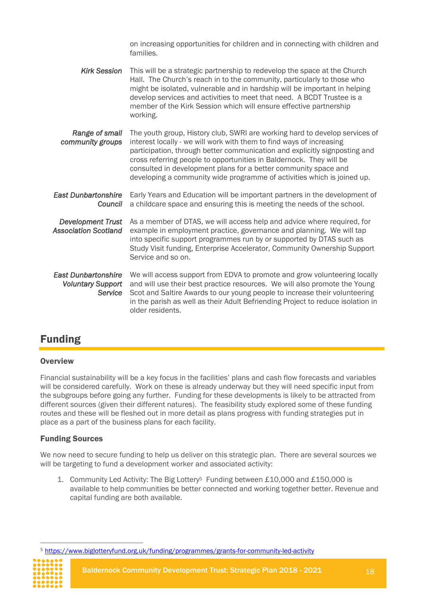|                                                                   | on increasing opportunities for children and in connecting with children and<br>families.                                                                                                                                                                                                                                                                                                                                                              |
|-------------------------------------------------------------------|--------------------------------------------------------------------------------------------------------------------------------------------------------------------------------------------------------------------------------------------------------------------------------------------------------------------------------------------------------------------------------------------------------------------------------------------------------|
| <b>Kirk Session</b>                                               | This will be a strategic partnership to redevelop the space at the Church<br>Hall. The Church's reach in to the community, particularly to those who<br>might be isolated, vulnerable and in hardship will be important in helping<br>develop services and activities to meet that need. A BCDT Trustee is a<br>member of the Kirk Session which will ensure effective partnership<br>working.                                                         |
| Range of small<br>community groups                                | The youth group, History club, SWRI are working hard to develop services of<br>interest locally - we will work with them to find ways of increasing<br>participation, through better communication and explicitly signposting and<br>cross referring people to opportunities in Baldernock. They will be<br>consulted in development plans for a better community space and<br>developing a community wide programme of activities which is joined up. |
| <b>East Dunbartonshire</b><br>Council                             | Early Years and Education will be important partners in the development of<br>a childcare space and ensuring this is meeting the needs of the school.                                                                                                                                                                                                                                                                                                  |
| <b>Development Trust</b><br><b>Association Scotland</b>           | As a member of DTAS, we will access help and advice where required, for<br>example in employment practice, governance and planning. We will tap<br>into specific support programmes run by or supported by DTAS such as<br>Study Visit funding, Enterprise Accelerator, Community Ownership Support<br>Service and so on.                                                                                                                              |
| <b>East Dunbartonshire</b><br><b>Voluntary Support</b><br>Service | We will access support from EDVA to promote and grow volunteering locally<br>and will use their best practice resources. We will also promote the Young<br>Scot and Saltire Awards to our young people to increase their volunteering<br>in the parish as well as their Adult Befriending Project to reduce isolation in<br>older residents.                                                                                                           |

# <span id="page-17-0"></span>Funding

#### <span id="page-17-1"></span>**Overview**

Financial sustainability will be a key focus in the facilities' plans and cash flow forecasts and variables will be considered carefully. Work on these is already underway but they will need specific input from the subgroups before going any further. Funding for these developments is likely to be attracted from different sources (given their different natures). The feasibility study explored some of these funding routes and these will be fleshed out in more detail as plans progress with funding strategies put in place as a part of the business plans for each facility.

#### <span id="page-17-2"></span>Funding Sources

We now need to secure funding to help us deliver on this strategic plan. There are several sources we will be targeting to fund a development worker and associated activity:

1. Community Led Activity: The Big Lottery<sup>5</sup> Funding between £10,000 and £150,000 is available to help communities be better connected and working together better. Revenue and capital funding are both available.

 $\overline{a}$ <sup>5</sup> <https://www.biglotteryfund.org.uk/funding/programmes/grants-for-community-led-activity>

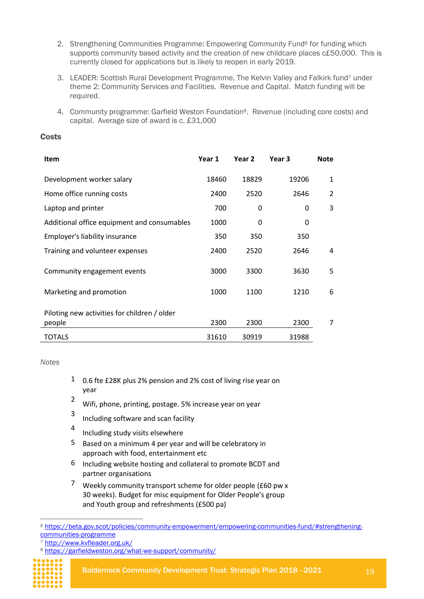- 2. Strengthening Communities Programme: Empowering Community Fund<sup>6</sup> for funding which supports community based activity and the creation of new childcare places c£50,000. This is currently closed for applications but is likely to reopen in early 2019.
- 3. LEADER: Scottish Rural Development Programme, The Kelvin Valley and Falkirk fund<sup>7</sup> under theme 2: Community Services and Facilities. Revenue and Capital. Match funding will be required.
- 4. Community programme: Garfield Weston Foundation<sup>8</sup>. Revenue (including core costs) and capital. Average size of award is c. £31,000

#### <span id="page-18-0"></span>**Costs**

| Item                                                   | Year 1 | Year 2 | Year 3 | <b>Note</b>    |
|--------------------------------------------------------|--------|--------|--------|----------------|
| Development worker salary                              | 18460  | 18829  | 19206  | 1              |
| Home office running costs                              | 2400   | 2520   | 2646   | $\overline{2}$ |
| Laptop and printer                                     | 700    | 0      | 0      | 3              |
| Additional office equipment and consumables            | 1000   | 0      | 0      |                |
| Employer's liability insurance                         | 350    | 350    | 350    |                |
| Training and volunteer expenses                        | 2400   | 2520   | 2646   | 4              |
| Community engagement events                            | 3000   | 3300   | 3630   | 5              |
| Marketing and promotion                                | 1000   | 1100   | 1210   | 6              |
| Piloting new activities for children / older<br>people | 2300   | 2300   | 2300   | 7              |
| <b>TOTALS</b>                                          | 31610  | 30919  | 31988  |                |

*Notes*

- 1 0.6 fte £28K plus 2% pension and 2% cost of living rise year on year
- <sup>2</sup> Wifi, phone, printing, postage. 5% increase year on year
- 3 Including software and scan facility
- 4 Including study visits elsewhere
- 5 Based on a minimum 4 per year and will be celebratory in approach with food, entertainment etc
- 6 Including website hosting and collateral to promote BCDT and partner organisations
- 7 Weekly community transport scheme for older people (£60 pw x 30 weeks). Budget for misc equipment for Older People's group and Youth group and refreshments (£500 pa)

<sup>7</sup> <http://www.kvfleader.org.uk/>

<sup>8</sup> <https://garfieldweston.org/what-we-support/community/>



 $\overline{a}$ 

Baldernock Community Development Trust: Strategic Plan 2018 - 2021 19

<sup>6</sup> [https://beta.gov.scot/policies/community-empowerment/empowering-communities-fund/#strengthening](https://beta.gov.scot/policies/community-empowerment/empowering-communities-fund/#strengthening-communities-programme)[communities-programme](https://beta.gov.scot/policies/community-empowerment/empowering-communities-fund/#strengthening-communities-programme)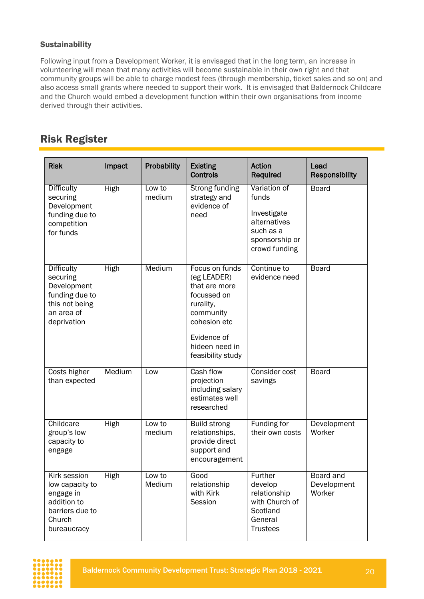#### <span id="page-19-0"></span>**Sustainability**

Following input from a Development Worker, it is envisaged that in the long term, an increase in volunteering will mean that many activities will become sustainable in their own right and that community groups will be able to charge modest fees (through membership, ticket sales and so on) and also access small grants where needed to support their work. It is envisaged that Baldernock Childcare and the Church would embed a development function within their own organisations from income derived through their activities.

### <span id="page-19-1"></span>Risk Register

| <b>Risk</b>                                                                                                   | Impact      | Probability      | <b>Existing</b><br><b>Controls</b>                                                                                                                            | Action<br>Required                                                                                   | Lead<br><b>Responsibility</b>      |
|---------------------------------------------------------------------------------------------------------------|-------------|------------------|---------------------------------------------------------------------------------------------------------------------------------------------------------------|------------------------------------------------------------------------------------------------------|------------------------------------|
| <b>Difficulty</b><br>securing<br>Development<br>funding due to<br>competition<br>for funds                    | High        | Low to<br>medium | Strong funding<br>strategy and<br>evidence of<br>need                                                                                                         | Variation of<br>funds<br>Investigate<br>alternatives<br>such as a<br>sponsorship or<br>crowd funding | <b>Board</b>                       |
| <b>Difficulty</b><br>securing<br>Development<br>funding due to<br>this not being<br>an area of<br>deprivation | <b>High</b> | Medium           | Focus on funds<br>(eg LEADER)<br>that are more<br>focussed on<br>rurality,<br>community<br>cohesion etc<br>Evidence of<br>hideen need in<br>feasibility study | Continue to<br>evidence need                                                                         | <b>Board</b>                       |
| <b>Costs higher</b><br>than expected                                                                          | Medium      | Low              | Cash flow<br>projection<br>including salary<br>estimates well<br>researched                                                                                   | Consider cost<br>savings                                                                             | <b>Board</b>                       |
| Childcare<br>group's low<br>capacity to<br>engage                                                             | <b>High</b> | Low to<br>medium | <b>Build strong</b><br>relationships,<br>provide direct<br>support and<br>encouragement                                                                       | Funding for<br>their own costs                                                                       | Development<br>Worker              |
| Kirk session<br>low capacity to<br>engage in<br>addition to<br>barriers due to<br>Church<br>bureaucracy       | <b>High</b> | Low to<br>Medium | Good<br>relationship<br>with Kirk<br>Session                                                                                                                  | Further<br>develop<br>relationship<br>with Church of<br>Scotland<br>General<br><b>Trustees</b>       | Board and<br>Development<br>Worker |